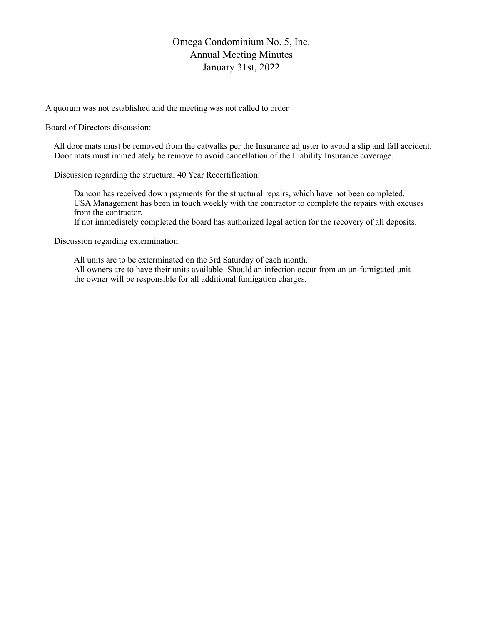## Omega Condominium No. 5, Inc. Annual Meeting Minutes January 31st, 2022

A quorum was not established and the meeting was not called to order

Board of Directors discussion:

 All door mats must be removed from the catwalks per the Insurance adjuster to avoid a slip and fall accident. Door mats must immediately be remove to avoid cancellation of the Liability Insurance coverage.

Discussion regarding the structural 40 Year Recertification:

Dancon has received down payments for the structural repairs, which have not been completed. USA Management has been in touch weekly with the contractor to complete the repairs with excuses from the contractor.

If not immediately completed the board has authorized legal action for the recovery of all deposits.

Discussion regarding extermination.

All units are to be exterminated on the 3rd Saturday of each month. All owners are to have their units available. Should an infection occur from an un-fumigated unit the owner will be responsible for all additional fumigation charges.